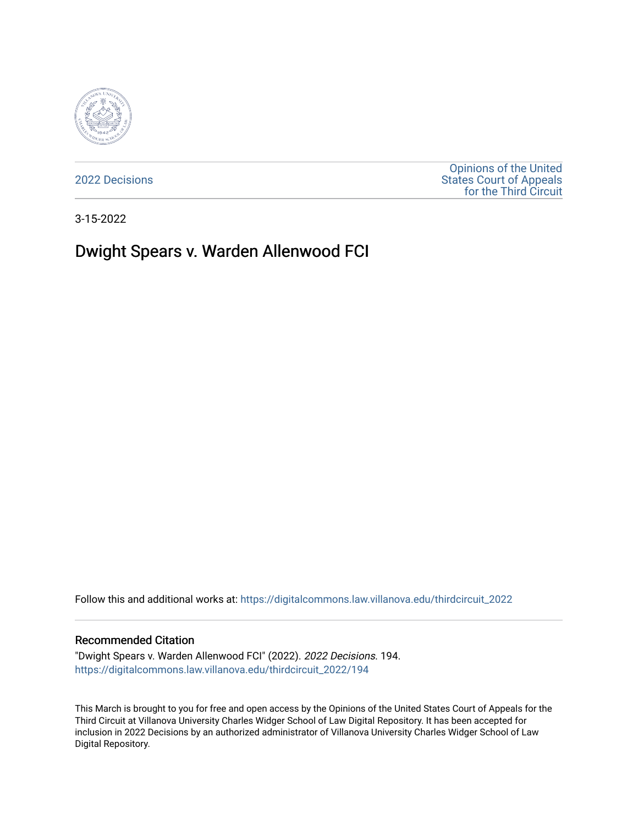

[2022 Decisions](https://digitalcommons.law.villanova.edu/thirdcircuit_2022)

[Opinions of the United](https://digitalcommons.law.villanova.edu/thirdcircuit)  [States Court of Appeals](https://digitalcommons.law.villanova.edu/thirdcircuit)  [for the Third Circuit](https://digitalcommons.law.villanova.edu/thirdcircuit) 

3-15-2022

# Dwight Spears v. Warden Allenwood FCI

Follow this and additional works at: [https://digitalcommons.law.villanova.edu/thirdcircuit\\_2022](https://digitalcommons.law.villanova.edu/thirdcircuit_2022?utm_source=digitalcommons.law.villanova.edu%2Fthirdcircuit_2022%2F194&utm_medium=PDF&utm_campaign=PDFCoverPages) 

### Recommended Citation

"Dwight Spears v. Warden Allenwood FCI" (2022). 2022 Decisions. 194. [https://digitalcommons.law.villanova.edu/thirdcircuit\\_2022/194](https://digitalcommons.law.villanova.edu/thirdcircuit_2022/194?utm_source=digitalcommons.law.villanova.edu%2Fthirdcircuit_2022%2F194&utm_medium=PDF&utm_campaign=PDFCoverPages)

This March is brought to you for free and open access by the Opinions of the United States Court of Appeals for the Third Circuit at Villanova University Charles Widger School of Law Digital Repository. It has been accepted for inclusion in 2022 Decisions by an authorized administrator of Villanova University Charles Widger School of Law Digital Repository.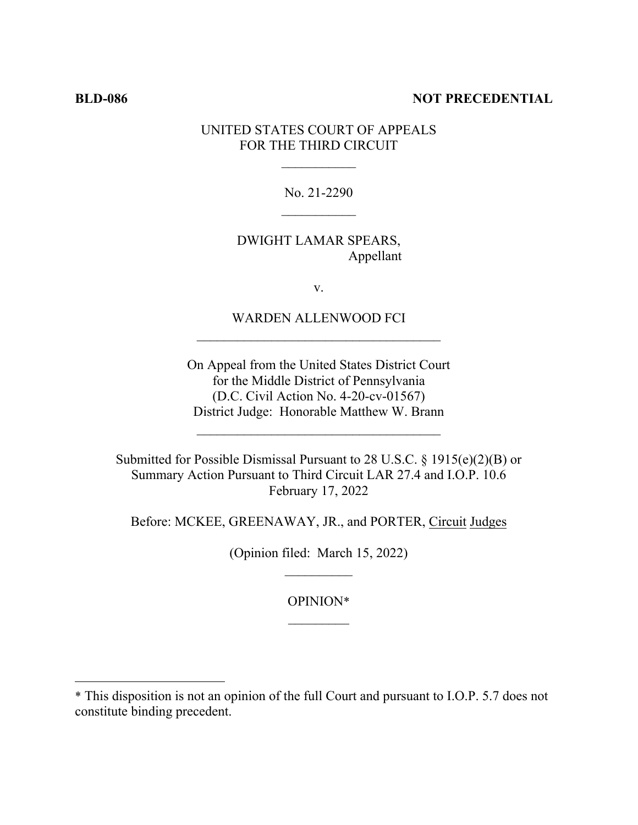### **BLD-086 NOT PRECEDENTIAL**

# UNITED STATES COURT OF APPEALS FOR THE THIRD CIRCUIT

No. 21-2290

# DWIGHT LAMAR SPEARS, Appellant

v.

WARDEN ALLENWOOD FCI

On Appeal from the United States District Court for the Middle District of Pennsylvania (D.C. Civil Action No. 4-20-cv-01567) District Judge: Honorable Matthew W. Brann

 $\mathcal{L}_\text{max}$ 

Submitted for Possible Dismissal Pursuant to 28 U.S.C. § 1915(e)(2)(B) or Summary Action Pursuant to Third Circuit LAR 27.4 and I.O.P. 10.6 February 17, 2022

Before: MCKEE, GREENAWAY, JR., and PORTER, Circuit Judges

(Opinion filed: March 15, 2022)

OPINION\*

<sup>\*</sup> This disposition is not an opinion of the full Court and pursuant to I.O.P. 5.7 does not constitute binding precedent.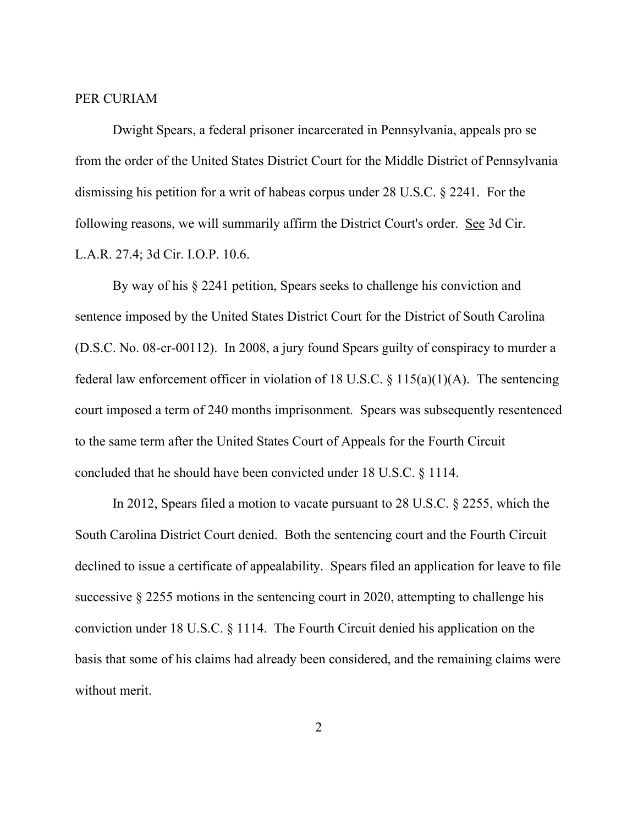### PER CURIAM

Dwight Spears, a federal prisoner incarcerated in Pennsylvania, appeals pro se from the order of the United States District Court for the Middle District of Pennsylvania dismissing his petition for a writ of habeas corpus under 28 U.S.C. § 2241. For the following reasons, we will summarily affirm the District Court's order. See 3d Cir. L.A.R. 27.4; 3d Cir. I.O.P. 10.6.

 By way of his § 2241 petition, Spears seeks to challenge his conviction and sentence imposed by the United States District Court for the District of South Carolina (D.S.C. No. 08-cr-00112). In 2008, a jury found Spears guilty of conspiracy to murder a federal law enforcement officer in violation of 18 U.S.C.  $\S$  115(a)(1)(A). The sentencing court imposed a term of 240 months imprisonment. Spears was subsequently resentenced to the same term after the United States Court of Appeals for the Fourth Circuit concluded that he should have been convicted under 18 U.S.C. § 1114.

In 2012, Spears filed a motion to vacate pursuant to 28 U.S.C. § 2255, which the South Carolina District Court denied. Both the sentencing court and the Fourth Circuit declined to issue a certificate of appealability. Spears filed an application for leave to file successive § 2255 motions in the sentencing court in 2020, attempting to challenge his conviction under 18 U.S.C. § 1114. The Fourth Circuit denied his application on the basis that some of his claims had already been considered, and the remaining claims were without merit.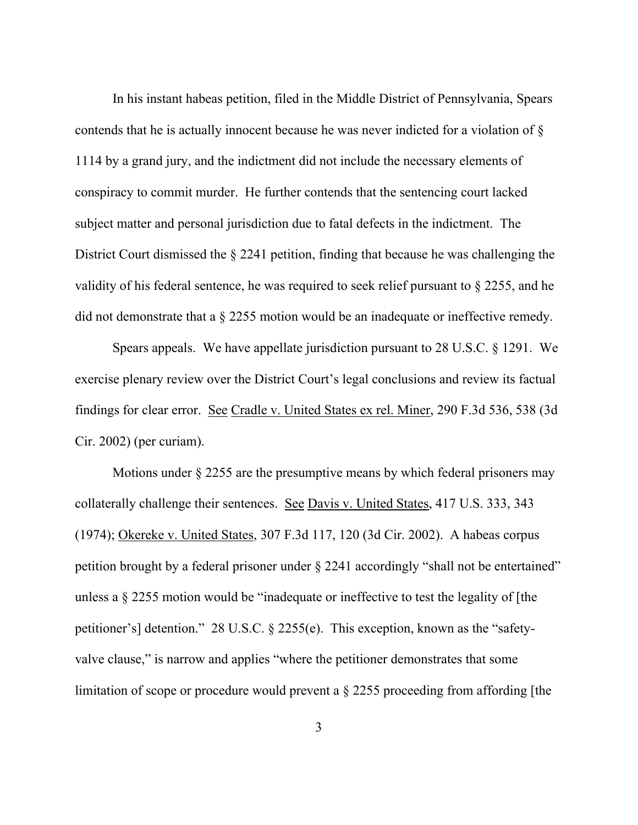In his instant habeas petition, filed in the Middle District of Pennsylvania, Spears contends that he is actually innocent because he was never indicted for a violation of § 1114 by a grand jury, and the indictment did not include the necessary elements of conspiracy to commit murder. He further contends that the sentencing court lacked subject matter and personal jurisdiction due to fatal defects in the indictment. The District Court dismissed the § 2241 petition, finding that because he was challenging the validity of his federal sentence, he was required to seek relief pursuant to § 2255, and he did not demonstrate that a § 2255 motion would be an inadequate or ineffective remedy.

Spears appeals. We have appellate jurisdiction pursuant to 28 U.S.C. § 1291. We exercise plenary review over the District Court's legal conclusions and review its factual findings for clear error. See Cradle v. United States ex rel. Miner, 290 F.3d 536, 538 (3d Cir. 2002) (per curiam).

Motions under  $\S 2255$  are the presumptive means by which federal prisoners may collaterally challenge their sentences. See Davis v. United States, 417 U.S. 333, 343 (1974); Okereke v. United States, 307 F.3d 117, 120 (3d Cir. 2002). A habeas corpus petition brought by a federal prisoner under § 2241 accordingly "shall not be entertained" unless a § 2255 motion would be "inadequate or ineffective to test the legality of [the petitioner's] detention." 28 U.S.C. § 2255(e). This exception, known as the "safetyvalve clause," is narrow and applies "where the petitioner demonstrates that some limitation of scope or procedure would prevent a § 2255 proceeding from affording [the